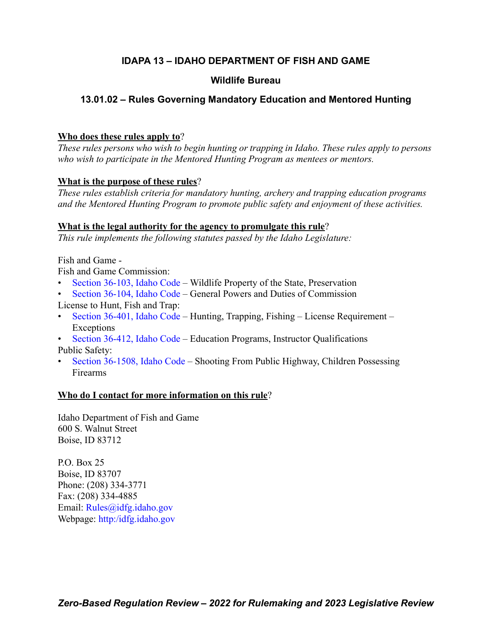# **IDAPA 13 – IDAHO DEPARTMENT OF FISH AND GAME**

# **Wildlife Bureau**

# **13.01.02 – Rules Governing Mandatory Education and Mentored Hunting**

## **Who does these rules apply to**?

*These rules persons who wish to begin hunting or trapping in Idaho. These rules apply to persons who wish to participate in the Mentored Hunting Program as mentees or mentors.*

# **What is the purpose of these rules**?

*These rules establish criteria for mandatory hunting, archery and trapping education programs and the Mentored Hunting Program to promote public safety and enjoyment of these activities.*

# **What is the legal authority for the agency to promulgate this rule**?

*This rule implements the following statutes passed by the Idaho Legislature:*

Fish and Game -

Fish and Game Commission:

- [Section 36-103, Idaho Code –](https://legislature.idaho.gov/statutesrules/idstat/Title36/T36CH1/SECT36-103/) Wildlife Property of the State, Preservation
- [Section 36-104, Idaho Code –](https://legislature.idaho.gov/statutesrules/idstat/Title36/T36CH1/SECT36-104/) General Powers and Duties of Commission
- License to Hunt, Fish and Trap:
- [Section 36-401, Idaho Code –](https://legislature.idaho.gov/statutesrules/idstat/Title36/T36CH4/SECT36-401/) Hunting, Trapping, Fishing License Requirement Exceptions
- [Section 36-412, Idaho Code –](https://legislature.idaho.gov/statutesrules/idstat/Title36/T36CH4/SECT36-412/) Education Programs, Instructor Qualifications Public Safety:
- [Section 36-1508, Idaho Code –](https://legislature.idaho.gov/statutesrules/idstat/Title36/T36CH15/SECT36-1508/) Shooting From Public Highway, Children Possessing Firearms

# **Who do I contact for more information on this rule**?

Idaho Department of Fish and Game 600 S. Walnut Street Boise, ID 83712

P.O. Box 25 Boise, ID 83707 Phone: (208) 334-3771 Fax: (208) 334-4885 Email: [Rules@idfg.idaho.gov](mailto:Rules@idfg.idaho.gov) Webpage: [http:/idfg.idaho.gov](https://idfg.idaho.gov)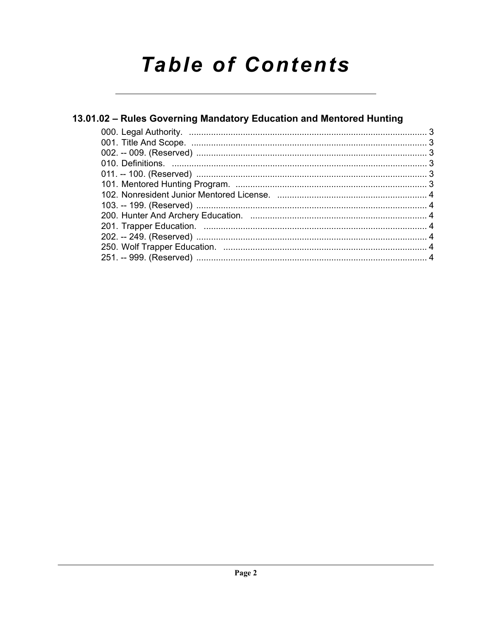# **Table of Contents**

# 13.01.02 - Rules Governing Mandatory Education and Mentored Hunting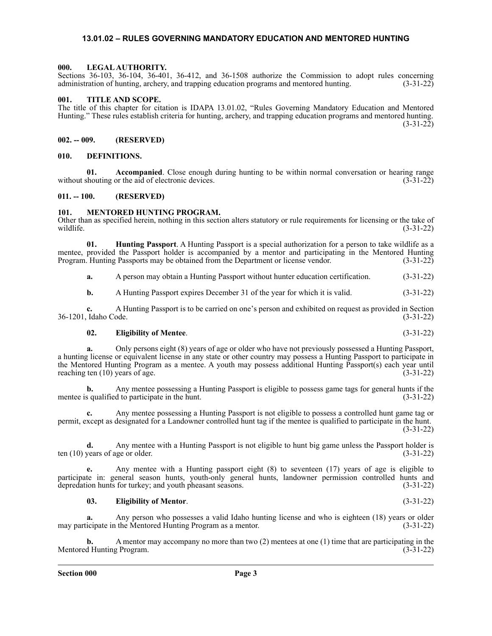#### <span id="page-2-0"></span>**13.01.02 – RULES GOVERNING MANDATORY EDUCATION AND MENTORED HUNTING**

#### <span id="page-2-1"></span>**000. LEGAL AUTHORITY.**

Sections 36-103, 36-104, 36-401, 36-412, and 36-1508 authorize the Commission to adopt rules concerning administration of hunting, archery, and trapping education programs and mentored hunting. (3-31-22)

#### <span id="page-2-2"></span>**001. TITLE AND SCOPE.**

The title of this chapter for citation is IDAPA 13.01.02, "Rules Governing Mandatory Education and Mentored Hunting." These rules establish criteria for hunting, archery, and trapping education programs and mentored hunting. (3-31-22)

#### <span id="page-2-3"></span>**002. -- 009. (RESERVED)**

#### <span id="page-2-4"></span>**010. DEFINITIONS.**

**01. Accompanied**. Close enough during hunting to be within normal conversation or hearing range without shouting or the aid of electronic devices.  $(3-31-22)$ 

#### <span id="page-2-5"></span>**011. -- 100. (RESERVED)**

#### <span id="page-2-6"></span>**101. MENTORED HUNTING PROGRAM.**

Other than as specified herein, nothing in this section alters statutory or rule requirements for licensing or the take of wildlife. (3-31-22)

**01. Hunting Passport**. A Hunting Passport is a special authorization for a person to take wildlife as a mentee, provided the Passport holder is accompanied by a mentor and participating in the Mentored Hunting Program. Hunting Passports may be obtained from the Department or license vendor. (3-31-22) Program. Hunting Passports may be obtained from the Department or license vendor.

**a.** A person may obtain a Hunting Passport without hunter education certification. (3-31-22)

**b.** A Hunting Passport expires December 31 of the year for which it is valid.  $(3-31-22)$ 

**c.** A Hunting Passport is to be carried on one's person and exhibited on request as provided in Section 36-1201, Idaho Code.

#### **02. Eligibility of Mentee**. (3-31-22)

**a.** Only persons eight (8) years of age or older who have not previously possessed a Hunting Passport, a hunting license or equivalent license in any state or other country may possess a Hunting Passport to participate in the Mentored Hunting Program as a mentee. A youth may possess additional Hunting Passport(s) each year until reaching ten  $(10)$  years of age.  $(3-31-22)$ 

**b.** Any mentee possessing a Hunting Passport is eligible to possess game tags for general hunts if the mentee is qualified to participate in the hunt. (3-31-22)

**c.** Any mentee possessing a Hunting Passport is not eligible to possess a controlled hunt game tag or permit, except as designated for a Landowner controlled hunt tag if the mentee is qualified to participate in the hunt. (3-31-22)

**d.** Any mentee with a Hunting Passport is not eligible to hunt big game unless the Passport holder is ten  $(10)$  years of age or older.  $(3-31-22)$ 

**e.** Any mentee with a Hunting passport eight (8) to seventeen (17) years of age is eligible to participate in: general season hunts, youth-only general hunts, landowner permission controlled hunts and depredation hunts for turkey; and youth pheasant seasons. (3-31-22)

#### **03. Eligibility of Mentor**. (3-31-22)

**a.** Any person who possesses a valid Idaho hunting license and who is eighteen (18) years or older icipate in the Mentored Hunting Program as a mentor. (3-31-22) may participate in the Mentored Hunting Program as a mentor.

**b.** A mentor may accompany no more than two (2) mentees at one (1) time that are participating in the Mentored Hunting Program. (3-31-22)